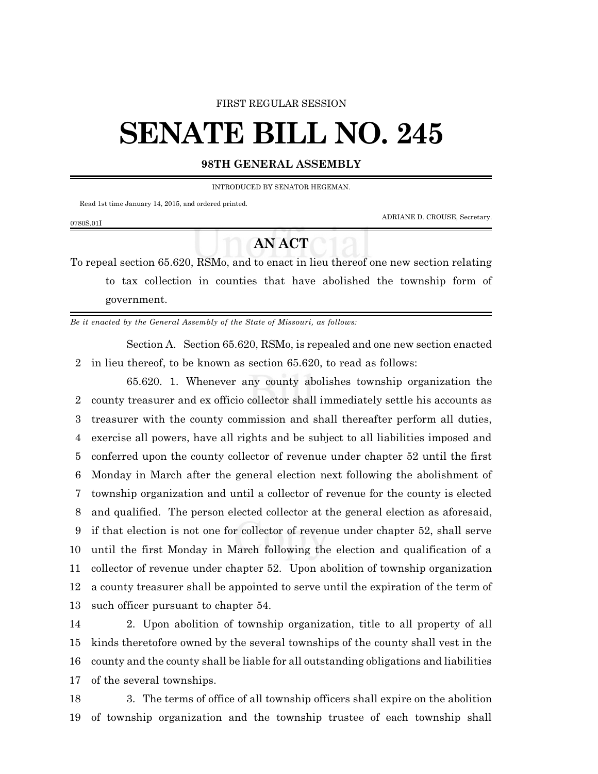## FIRST REGULAR SESSION

## **SENATE BILL NO. 245**

## **98TH GENERAL ASSEMBLY**

INTRODUCED BY SENATOR HEGEMAN.

Read 1st time January 14, 2015, and ordered printed.

ADRIANE D. CROUSE, Secretary.

## **AN ACT**

To repeal section 65.620, RSMo, and to enact in lieu thereof one new section relating to tax collection in counties that have abolished the township form of government.

*Be it enacted by the General Assembly of the State of Missouri, as follows:*

Section A. Section 65.620, RSMo, is repealed and one new section enacted 2 in lieu thereof, to be known as section 65.620, to read as follows:

65.620. 1. Whenever any county abolishes township organization the county treasurer and ex officio collector shall immediately settle his accounts as treasurer with the county commission and shall thereafter perform all duties, exercise all powers, have all rights and be subject to all liabilities imposed and conferred upon the county collector of revenue under chapter 52 until the first Monday in March after the general election next following the abolishment of township organization and until a collector of revenue for the county is elected and qualified. The person elected collector at the general election as aforesaid, if that election is not one for collector of revenue under chapter 52, shall serve until the first Monday in March following the election and qualification of a collector of revenue under chapter 52. Upon abolition of township organization a county treasurer shall be appointed to serve until the expiration of the term of such officer pursuant to chapter 54.

 2. Upon abolition of township organization, title to all property of all kinds theretofore owned by the several townships of the county shall vest in the county and the county shall be liable for all outstanding obligations and liabilities of the several townships.

18 3. The terms of office of all township officers shall expire on the abolition 19 of township organization and the township trustee of each township shall

0780S.01I